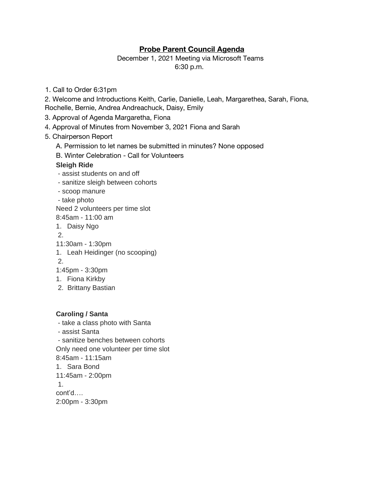# **Probe Parent Council Agenda**

December 1, 2021 Meeting via Microsoft Teams 6:30 p.m.

1. Call to Order 6:31pm

2. Welcome and Introductions Keith, Carlie, Danielle, Leah, Margarethea, Sarah, Fiona, Rochelle, Bernie, Andrea Andreachuck, Daisy, Emily

- 3. Approval of Agenda Margaretha, Fiona
- 4. Approval of Minutes from November 3, 2021 Fiona and Sarah

#### 5. Chairperson Report

- A. Permission to let names be submitted in minutes? None opposed
- B. Winter Celebration Call for Volunteers

#### **Sleigh Ride**

- assist students on and off
- sanitize sleigh between cohorts
- scoop manure
- take photo

Need 2 volunteers per time slot

8:45am - 11:00 am

1. Daisy Ngo

2.

- 11:30am 1:30pm
- 1. Leah Heidinger (no scooping)

2.

- 1:45pm 3:30pm
- 1. Fiona Kirkby
- 2. Brittany Bastian

## **Caroling / Santa**

- take a class photo with Santa - assist Santa - sanitize benches between cohorts Only need one volunteer per time slot 8:45am - 11:15am 1. Sara Bond 11:45am - 2:00pm 1. cont'd…. 2:00pm - 3:30pm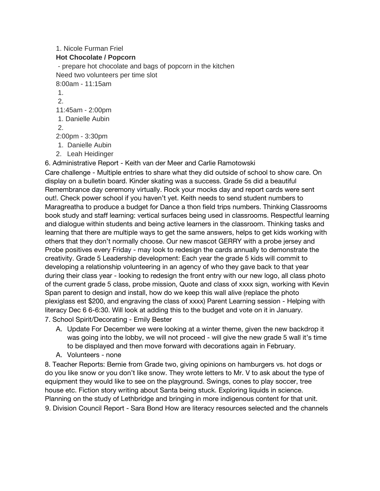## 1. Nicole Furman Friel **Hot Chocolate / Popcorn** - prepare hot chocolate and bags of popcorn in the kitchen Need two volunteers per time slot 8:00am - 11:15am 1. 2. 11:45am - 2:00pm 1. Danielle Aubin 2. 2:00pm - 3:30pm 1. Danielle Aubin

2. Leah Heidinger

6. Administrative Report - Keith van der Meer and Carlie Ramotowski

Care challenge - Multiple entries to share what they did outside of school to show care. On display on a bulletin board. Kinder skating was a success. Grade 5s did a beautiful Remembrance day ceremony virtually. Rock your mocks day and report cards were sent out!. Check power school if you haven't yet. Keith needs to send student numbers to Maragreatha to produce a budget for Dance a thon field trips numbers. Thinking Classrooms book study and staff learning: vertical surfaces being used in classrooms. Respectful learning and dialogue within students and being active learners in the classroom. Thinking tasks and learning that there are multiple ways to get the same answers, helps to get kids working with others that they don't normally choose. Our new mascot GERRY with a probe jersey and Probe positives every Friday - may look to redesign the cards annually to demonstrate the creativity. Grade 5 Leadership development: Each year the grade 5 kids will commit to developing a relationship volunteering in an agency of who they gave back to that year during their class year - looking to redesign the front entry with our new logo, all class photo of the current grade 5 class, probe mission, Quote and class of xxxx sign, working with Kevin Span parent to design and install, how do we keep this wall alive (replace the photo plexiglass est \$200, and engraving the class of xxxx) Parent Learning session - Helping with literacy Dec 6 6-6:30. Will look at adding this to the budget and vote on it in January.

- 7. School Spirit/Decorating Emily Bester
	- A. Update For December we were looking at a winter theme, given the new backdrop it was going into the lobby, we will not proceed - will give the new grade 5 wall it's time to be displayed and then move forward with decorations again in February.
	- A. Volunteers none

8. Teacher Reports: Bernie from Grade two, giving opinions on hamburgers vs. hot dogs or do you like snow or you don't like snow. They wrote letters to Mr. V to ask about the type of equipment they would like to see on the playground. Swings, cones to play soccer, tree house etc. Fiction story writing about Santa being stuck. Exploring liquids in science. Planning on the study of Lethbridge and bringing in more indigenous content for that unit. 9. Division Council Report - Sara Bond How are literacy resources selected and the channels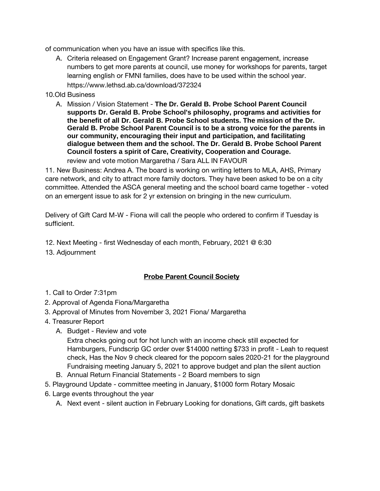of communication when you have an issue with specifics like this.

A. Criteria released on Engagement Grant? Increase parent engagement, increase numbers to get more parents at council, use money for workshops for parents, target learning english or FMNI families, does have to be used within the school year. https://www.lethsd.ab.ca/download/372324

### 10.Old Business

A. Mission / Vision Statement - **The Dr. Gerald B. Probe School Parent Council supports Dr. Gerald B. Probe School's philosophy, programs and activities for the benefit of all Dr. Gerald B. Probe School students. The mission of the Dr. Gerald B. Probe School Parent Council is to be a strong voice for the parents in our community, encouraging their input and participation, and facilitating dialogue between them and the school. The Dr. Gerald B. Probe School Parent Council fosters a spirit of Care, Creativity, Cooperation and Courage.**  review and vote motion Margaretha / Sara ALL IN FAVOUR

11. New Business: Andrea A. The board is working on writing letters to MLA, AHS, Primary care network, and city to attract more family doctors. They have been asked to be on a city committee. Attended the ASCA general meeting and the school board came together - voted on an emergent issue to ask for 2 yr extension on bringing in the new curriculum.

Delivery of Gift Card M-W - Fiona will call the people who ordered to confirm if Tuesday is sufficient.

- 12. Next Meeting first Wednesday of each month, February, 2021 @ 6:30
- 13. Adjournment

## **Probe Parent Council Society**

- 1. Call to Order 7:31pm
- 2. Approval of Agenda Fiona/Margaretha
- 3. Approval of Minutes from November 3, 2021 Fiona/ Margaretha
- 4. Treasurer Report
	- A. Budget Review and vote

Extra checks going out for hot lunch with an income check still expected for Hamburgers, Fundscrip GC order over \$14000 netting \$733 in profit - Leah to request check, Has the Nov 9 check cleared for the popcorn sales 2020-21 for the playground Fundraising meeting January 5, 2021 to approve budget and plan the silent auction

- B. Annual Return Financial Statements 2 Board members to sign
- 5. Playground Update committee meeting in January, \$1000 form Rotary Mosaic
- 6. Large events throughout the year
	- A. Next event silent auction in February Looking for donations, Gift cards, gift baskets